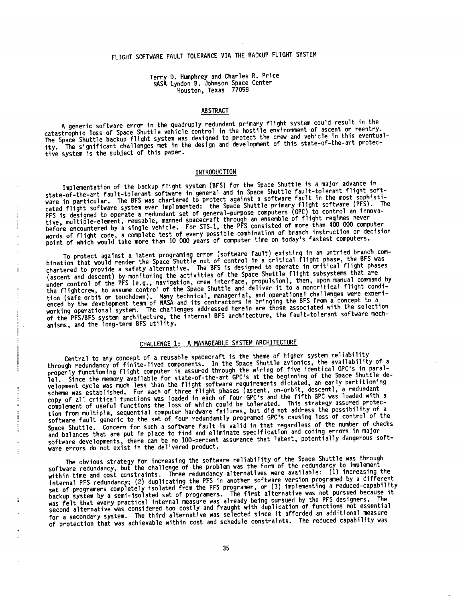# FLIGHT SOFTWARE FAULT TOLERANCE VIA ME BACKUP FLIGHT SYSTEM

Terry D. Humphrey and Charles R. Price NASA Lyndon B. Johnson Space Center Houston, Texas 77058

### AB STRACT

A generic software error in the quadruply redundant primary flight system could result in the catastrophic loss of Space Shuttle vehicle control in the hostile environment of ascent or reentry. The Space Shuttle backup flight **system** was **designed** to protect the crew and vehicle In this eventuality. The **significant** challenges met in the **design and development** of this state-of-the-art protective system is the subject of this paper.

## INTRODUCTION

Implementation of the backup flight **system** (BFS) for the Space Shuttle Is a major advance in state-of-the-art fault-tolerant software in general and in Space Shuttle fault-tolerant flight software in particular. The BFS was chartered to protect against a software fault in the most **south in the most south** cated flight software system ever implemented: the Space Shuttle primary flood to section in the Space PFS is **designed** to operate a redundant set of general-purpose computers (GPC) to control an innovative, multiple-element, reusable, manned **spacecraft** through an ensemble of flight regimes never before encountered by a **single** vehicle. For STS-I, the PFS consisted of more than 400 000 computer words of flight code, a complete test of every possible combination of branch instruction or **decision** point of which would take more than 10 000 years of computer time on today's fastest computers.

To protect against a latent programing error (software fault) existing in the second branch combination that would render the Space Shuttle out of control in a critical flight phase, the BFS was chartered to provide a **safety** alternative. The BFS is **designed** to operate in critical flight phases (ascent and **descent)** by monitoring the activities of the Space Shuttle flight **subsystems** that are under control of the PFS (e.g., navigation, crew interface, propulsion), then, upon  $\mathcal{L}$  is the condition of the flightcrew, to assume control of the Space Shuttle and **deliver** it to a noncritical flight condition (safe orbit or touchdown). Many technical, managerial, and operational challenges were the s enced by the development team of NASA and its contractors in bringing the BES from a concept to a concept to a concept working operational system. The challenges addressed herein are those associated with the selection moch of the PFS/BFS system architecture, the internal BFS architecture, the fault-tolerant software mechanisms, and the long-term BFS utility.

J

 $\alpha$  is a second construction of  $\alpha$  .

 $\frac{1}{2}$ 

The company of the contract of the contract of the contract of

 $\pm$  $\frac{1}{\pi}$ 

f,

 $\frac{1}{2}$ 

# CHALLENGE 1: A MANAGEABLE SYSTEM ARCHITECTURE

Central to any concept of a reusable spacecraft is the theme of higher system reliability through redundancy of finite-lived components. In the space Shuttle avions fleet of a paralproperly functioning flight computer is assured through the wiring of five identical Space Shuttle de-<br>lel. Since the memory available for state-of-the-art GPC's at the beginning of the Space Shuttle development cycle was much less than the flight software requirements **dictated,** an early partitioning scheme was established. For each of three flight phases (ascent, on-orbit, **descent),** a redundant copy of all critical functions was loaded in each of four arc s and the first area assured protec-<br>complement of useful functions the loss of which could be tolerated. This strategy assured protection from multiple, **sequential** computer hardware failures, but **dld** not address the possibility of a **software** fault generic to the **set** of four redundantly programed GPC's causing loss of control of the Space Shuttle. Concern for **such** a **software** fault is valid in that regardless of the number of checks and balances that are put in place to find and eliminate specification and coding errors in major software **developments,** there can be no lO0-percent assurance that latent, potentially **dangerous** soFtware errors do not exist in the delivered product.

The obvious **strategy** for increasing the **software** reliability of the Space Shuttle was through software redundancy, but the challenge of the problem was the form **of** the redundancy to implement within time and cost constraints. Three redundancy alternatives were available: (I) included the addenial internal PFS redundancy; (2) **duplicating** the PFS in another **software** version programed by a different set of programers completely isolated from the PFS programer, or (3) implementing a reduced-capability backup **system** by a **seml-lsolated** set of programers. The first alternative was not pursued because it was felt that every practical internal measure was already being pursued by the PFS **designers.** The **second** alternative was considered too costly and fraught with **duplication** of functions not essential for a secondary **system.** The third alternatlve was selected **since** it afforded an additional measure of protection that was achievable within cost and schedule constraints. The reduced capability was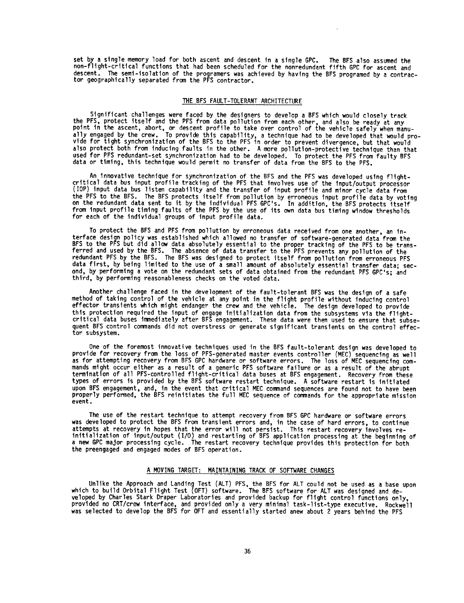set by a single memory load for both ascent and descent in a single GPC. The BFS also assumed the non-flight-critical functions that had been scheduled for the nonredundant fifth GPC for ascent and descent. The semi-isolation of the programers was achieved by having the BFS programed by a contrac- tor geographically separated from the PFS contractor.

## THE BFS **FAULT-TOLERANT** ARCHITECTURE

Significant challenges were faced by the **designers** to develop a BFS which would closely track the PFS, protect itself and the PFS from data pollution from each other, and also be ready at any point in the ascent, abort, or descent profile to take over control of the vehicle safely when manually engaged by the crew. To provide this capability, a technique had to be developed that would provide for tight **synchronization** of the BFS to the PFS in order to prevent divergence, but that would also protect both from inducing faults in the other. A more pollution-protective technique than that **used** for **PFS** redundant-set **synchronization** had to be **developed.** To protect the PFS from faulty BFS data or timing, this technique would permit no transfer of **data** from the BFS to the PFS.

An innovative technique for **synchronization** of the BFS and the PFS was **developed** using flightcritical **data** bus input profile tracking of the PFS that involves use **of** the input/output processor (IOP) input data bus listen capability and the transfer of input profile and minor cycle data from the PFS to the BFS. The BFS protects itself from pollution by erroneous input profile data by voting on the redundant data **sent** to it by the individual PFS GPC's. In addition, the BFS protects itself from input profile timing faults of the PFS by the use of its own **data** bus timing window thresholds for each of the individual groups of input profile **data.**

To protect the BFS and PFS from pollution by erroneous data received from one another, an interface design policy was established which allowed no transfer of **software-generated** data from the BFS to the PFS but did allow data absolutely essential to the proper tracking of the PFS to be transferred and used by the BFS. The absence of **data** transfer to the PFS prevents **any** pollution of the redundant PFS by the BFS. The BFS was designed to protect itself from pollution from erroneous PFS data first, by being limited to the use of a small amount of absolutely essential transfer data; **sec**ond, by performing a vote on the redundant sets of **data** obtained from the redundant PFS GPC's; and third, by performing reasonableness checks on the voted data.

Another challenge faced in the development of the fault-tolerant BFS was the **design** of a **safe** method of taking control of the vehicle at any point in the **flight** profile without inducing control effector transients which might endanger the crew and the vehicle. The design developed to provide this protection required the input of engage initialization data from the subsystems via the flightcritical data buses immediately after BFS engagement. These **data** were then used to ensure that **subsequent** BFS control commands did not overstress or generate significant transients on the control effector subsystem.

One of the foremost innovative techniques used in the BFS fault-tolerant design was developed to provide for recovery from the loss of PFS-generated master events controller (MEC) sequencing as well as for attempting recovery from BFS **GPC** hardware or **software** errors. The loss of MEC **sequencing** commands might occur either as a result of a generic **PFS** software failure or as a result of the abrupt termination of all PFS-controlled flight-critical data buses at BFS engagement. Recovery from these types of errors is provided by the BFS software restart technique. A software restart is initiated upon BFS engagement, and, in the event that critical MEC command **sequences** are found **not** to have been properly performed, the BFS reinitiates the full MEC **sequence** of commands for the appropriate mission event.

The use of the restart technique to attempt recovery from BFS GPC hardware or **software** errors was developed to protect the BFS from transient errors and, in the case of hard errors, to continue attempts at recovery in hopes that the error will not persist. This restart recovery involves reinitialization of input/output **(I/O)** and restarting of BFS application processing at the beginning of a new GPC major processing cycle. The restart recovery technique provides this protection for both the preengaged and engaged modes of BFS operation.

#### A MOVING TARGET: MAINTAINING TRACK OF SOFTWARE CHANGES

Unlike the Approach and Landing Test (ALT) PFS, the BFS for ALT could not be used as a base upon which to build Orbital Flight Test (OFT) software. The BFS **software** for ALT was designed and **de**veloped by Charles Stark Draper Laboratories and provided backup for flight control functions only, provided no CRT/crew interface, and provided only a very minimal task-list-type executive. Rockwell was selected to develop the BFS for OFT and essentially **started** anew about 2 years behind the PFS